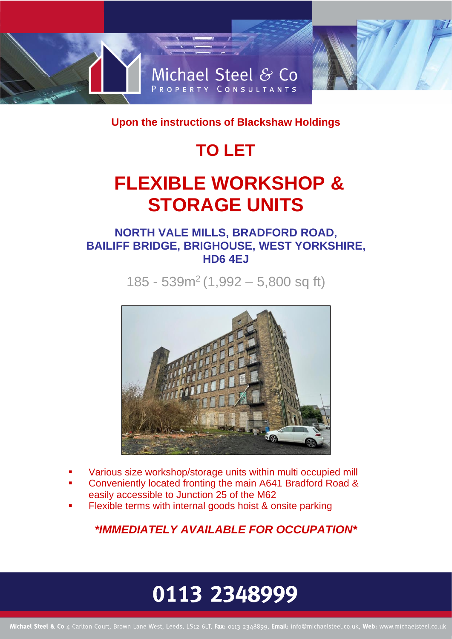

**Upon the instructions of Blackshaw Holdings** 

## **TO LET**

## **FLEXIBLE WORKSHOP & STORAGE UNITS**

### **NORTH VALE MILLS, BRADFORD ROAD, BAILIFF BRIDGE, BRIGHOUSE, WEST YORKSHIRE, HD6 4EJ**

185 - 539m<sup>2</sup> (1,992 – 5,800 sq ft)



- Various size workshop/storage units within multi occupied mill
- Conveniently located fronting the main A641 Bradford Road & easily accessible to Junction 25 of the M62
- Flexible terms with internal goods hoist & onsite parking

*\*IMMEDIATELY AVAILABLE FOR OCCUPATION\**

# 0113 2348999

Michael Steel & Co 4 Carlton Court, Brown Lane West, Leeds, LS12 6LT, Fax: 0113 2348899, Email: info@michaelsteel.co.uk, Web: www.michaelsteel.co.uk